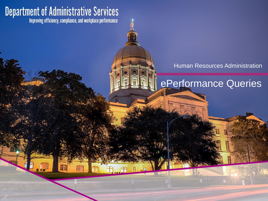# **Department of Administrative Services**<br>Improving efficiency, compliance, and workplace performance

#### Human Resources Administration

# ePerformance Queries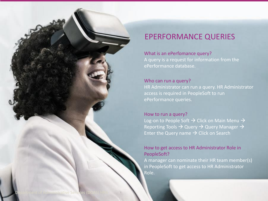

#### What is an ePerfomance query?

A query is a request for information from the ePerformance database.

#### Who can run a query?

HR Administrator can run a query. HR Administrator access is required in PeopleSoft to run ePerformance queries.

#### How to run a query?

Log-on to People Soft  $\rightarrow$  Click on Main Menu  $\rightarrow$ Reporting Tools  $\rightarrow$  Query  $\rightarrow$  Query Manager  $\rightarrow$ Enter the Query name  $\rightarrow$  Click on Search

#### How to get access to HR Administrator Role in PeopleSoft?

A manager can nominate their HR team member(s) in PeopleSoft to get access to HR Administrator Role.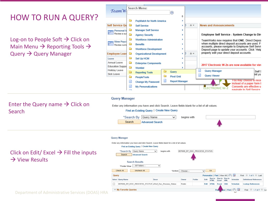### HOW TO RUN A QUERY?

Log-on to People Soft  $\rightarrow$  Click on Main Menu  $\rightarrow$  Reporting Tools  $\rightarrow$ Query  $\rightarrow$  Query Manager

| TeamW                                                  |                                   | Search Menu:                      |       | (3)                   |     |                                                                                                       |                                                   |                                                                       |  |  |
|--------------------------------------------------------|-----------------------------------|-----------------------------------|-------|-----------------------|-----|-------------------------------------------------------------------------------------------------------|---------------------------------------------------|-----------------------------------------------------------------------|--|--|
|                                                        |                                   |                                   |       |                       | ÷   |                                                                                                       |                                                   |                                                                       |  |  |
|                                                        |                                   | <b>PayMatch for North America</b> |       |                       | ٠   |                                                                                                       |                                                   |                                                                       |  |  |
| <b>Self Service Qu</b>                                 | a                                 | <b>Self Service</b>               |       | ь                     | ◎ ▼ |                                                                                                       | <b>News and Announcements</b>                     |                                                                       |  |  |
| Personal li<br>Review a sui                            |                                   | <b>Manager Self Service</b>       |       |                       | Þ   |                                                                                                       |                                                   |                                                                       |  |  |
|                                                        | n                                 | <b>Agency Security</b>            |       | ٠                     |     |                                                                                                       | Employee Self Service - System Change to Din      |                                                                       |  |  |
| <b>View Paycl</b><br>Review curre                      |                                   | <b>Workforce Administration</b>   |       |                       |     |                                                                                                       |                                                   | TeamWorks now requires that ONE. Direct Depos                         |  |  |
|                                                        |                                   | <b>Benefits</b>                   |       | ۰                     |     |                                                                                                       | when multiple direct deposit accounts are used. F |                                                                       |  |  |
|                                                        | n                                 | <b>Workforce Development</b>      |       | ٠                     |     | accounts, please navigate to Employee Self Servi<br>Deposit page to update your accounts. Click `Help |                                                   |                                                                       |  |  |
| <b>Employee Leav</b>                                   | ▭                                 | <b>Organizational Development</b> |       | ۰                     | ö v |                                                                                                       | properly edit your direct deposit accounts.       |                                                                       |  |  |
| Leave                                                  | a                                 | Set Up HCM                        |       | ۰                     |     |                                                                                                       |                                                   |                                                                       |  |  |
| Annual Leave                                           | □<br><b>Enterprise Components</b> |                                   |       |                       | ٠   |                                                                                                       |                                                   | 2017 Electronic W-2s are now available for view                       |  |  |
| <b>Education Suppol</b><br>Holiday Leave<br>Sick Leave | Ò                                 | <b>Worklist</b>                   |       |                       | ь   |                                                                                                       |                                                   |                                                                       |  |  |
|                                                        | Ò                                 | <b>Reporting Tools</b>            | Query |                       |     |                                                                                                       |                                                   | Query Manager<br>Self S                                               |  |  |
|                                                        | a                                 | <b>PeopleTools</b>                |       | <b>Pivot Grid</b>     |     |                                                                                                       |                                                   | jint yo<br>Query Viewer                                               |  |  |
|                                                        | Ħ                                 | <b>Change My Password</b>         |       | <b>Report Manager</b> |     |                                                                                                       |                                                   | You may choose to rece<br>instead of a paper form I                   |  |  |
|                                                        | ≝<br>$\sim$                       | <b>My Personalizations</b>        |       |                       |     |                                                                                                       |                                                   | Consents are effective u<br><b>FLECTR</b><br>navinate to Self Service |  |  |
|                                                        |                                   |                                   |       |                       |     |                                                                                                       |                                                   |                                                                       |  |  |

#### **Query Manager**